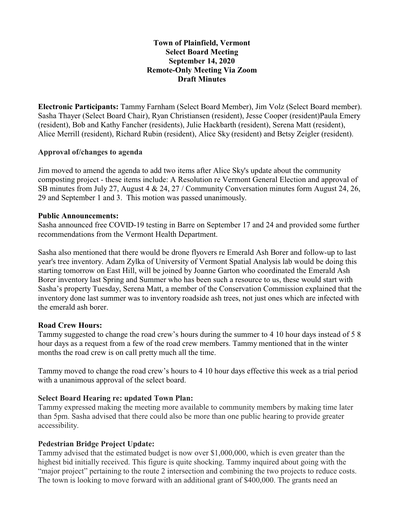## **Town of Plainfield, Vermont Select Board Meeting September 14, 2020 Remote-Only Meeting Via Zoom Draft Minutes**

**Electronic Participants:** Tammy Farnham (Select Board Member), Jim Volz (Select Board member). Sasha Thayer (Select Board Chair), Ryan Christiansen (resident), Jesse Cooper (resident)Paula Emery (resident), Bob and Kathy Fancher (residents), Julie Hackbarth (resident), Serena Matt (resident), Alice Merrill (resident), Richard Rubin (resident), Alice Sky (resident) and Betsy Zeigler (resident).

### **Approval of/changes to agenda**

Jim moved to amend the agenda to add two items after Alice Sky's update about the community composting project - these items include: A Resolution re Vermont General Election and approval of SB minutes from July 27, August 4 & 24, 27 / Community Conversation minutes form August 24, 26, 29 and September 1 and 3. This motion was passed unanimously.

### **Public Announcements:**

Sasha announced free COVID-19 testing in Barre on September 17 and 24 and provided some further recommendations from the Vermont Health Department.

Sasha also mentioned that there would be drone flyovers re Emerald Ash Borer and follow-up to last year's tree inventory. Adam Zylka of University of Vermont Spatial Analysis lab would be doing this starting tomorrow on East Hill, will be joined by Joanne Garton who coordinated the Emerald Ash Borer inventory last Spring and Summer who has been such a resource to us, these would start with Sasha's property Tuesday, Serena Matt, a member of the Conservation Commission explained that the inventory done last summer was to inventory roadside ash trees, not just ones which are infected with the emerald ash borer.

# **Road Crew Hours:**

Tammy suggested to change the road crew's hours during the summer to 4 10 hour days instead of 5 8 hour days as a request from a few of the road crew members. Tammy mentioned that in the winter months the road crew is on call pretty much all the time.

Tammy moved to change the road crew's hours to 4 10 hour days effective this week as a trial period with a unanimous approval of the select board.

# **Select Board Hearing re: updated Town Plan:**

Tammy expressed making the meeting more available to community members by making time later than 5pm. Sasha advised that there could also be more than one public hearing to provide greater accessibility.

# **Pedestrian Bridge Project Update:**

Tammy advised that the estimated budget is now over \$1,000,000, which is even greater than the highest bid initially received. This figure is quite shocking. Tammy inquired about going with the "major project" pertaining to the route 2 intersection and combining the two projects to reduce costs. The town is looking to move forward with an additional grant of \$400,000. The grants need an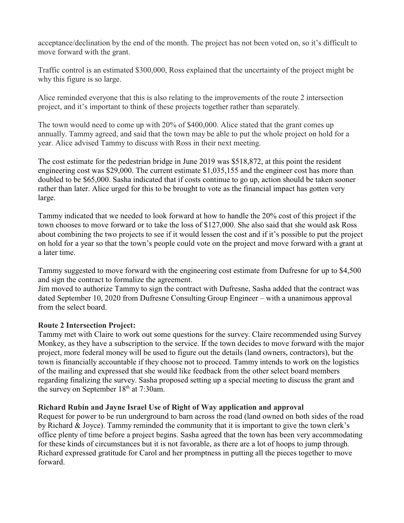acceptance/declination by the end of the month. The project has not been voted on, so it's difficult to move forward with the grant.

Traffic control is an estimated \$300,000, Ross explained that the uncertainty of the project might be why this figure is so large.

Alice reminded everyone that this is also relating to the improvements of the route 2 intersection project, and it's important to think of these projects together rather than separately.

The town would need to come up with 20% of \$400,000. Alice stated that the grant comes up annually. Tammy agreed, and said that the town may be able to put the whole project on hold for a year. Alice advised Tammy to discuss with Ross in their next meeting.

The cost estimate for the pedestrian bridge in June 2019 was \$518,872, at this point the resident engineering cost was \$29,000. The current estimate \$1,035,155 and the engineer cost has more than doubled to be \$65,000. Sasha indicated that if costs continue to go up, action should be taken sooner rather than later. Alice urged for this to be brought to vote as the financial impact has gotten very large.

Tammy indicated that we needed to look forward at how to handle the 20% cost of this project if the town chooses to move forward or to take the loss of \$127,000. She also said that she would ask Ross about combining the two projects to see if it would lessen the cost and if it's possible to put the project on hold for a year so that the town's people could vote on the project and move forward with a grant at a later time.

Tammy suggested to move forward with the engineering cost estimate from Dufresne for up to \$4,500 and sign the contract to formalize the agreement.

Jim moved to authorize Tammy to sign the contract with Dufresne, Sasha added that the contract was dated September 10, 2020 from Dufresne Consulting Group Engineer – with a unanimous approval from the select board.

# **Route 2 Intersection Project:**

Tammy met with Claire to work out some questions for the survey. Claire recommended using Survey Monkey, as they have a subscription to the service. If the town decides to move forward with the major project, more federal money will be used to figure out the details (land owners, contractors), but the town is financially accountable if they choose not to proceed. Tammy intends to work on the logistics of the mailing and expressed that she would like feedback from the other select board members regarding finalizing the survey. Sasha proposed setting up a special meeting to discuss the grant and the survey on September  $18<sup>th</sup>$  at 7:30am.

### **Richard Rubin and Jayne Israel Use of Right of Way application and approval**

Request for power to be run underground to barn across the road (land owned on both sides of the road by Richard & Joyce). Tammy reminded the community that it is important to give the town clerk's office plenty of time before a project begins. Sasha agreed that the town has been very accommodating for these kinds of circumstances but it is not favorable, as there are a lot of hoops to jump through. Richard expressed gratitude for Carol and her promptness in putting all the pieces together to move forward.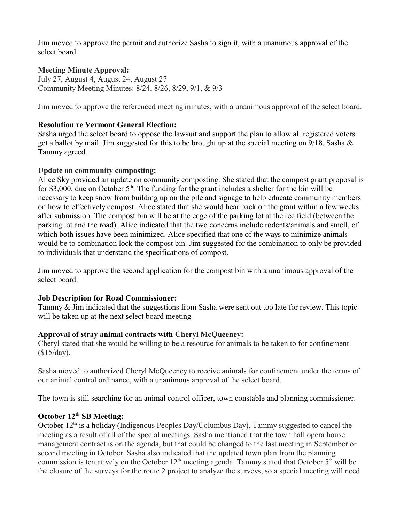Jim moved to approve the permit and authorize Sasha to sign it, with a unanimous approval of the select board.

## **Meeting Minute Approval:**

July 27, August 4, August 24, August 27 Community Meeting Minutes: 8/24, 8/26, 8/29, 9/1, & 9/3

Jim moved to approve the referenced meeting minutes, with a unanimous approval of the select board.

## **Resolution re Vermont General Election:**

Sasha urged the select board to oppose the lawsuit and support the plan to allow all registered voters get a ballot by mail. Jim suggested for this to be brought up at the special meeting on 9/18, Sasha & Tammy agreed.

## **Update on community composting:**

Alice Sky provided an update on community composting. She stated that the compost grant proposal is for \$3,000, due on October  $5<sup>th</sup>$ . The funding for the grant includes a shelter for the bin will be necessary to keep snow from building up on the pile and signage to help educate community members on how to effectively compost. Alice stated that she would hear back on the grant within a few weeks after submission. The compost bin will be at the edge of the parking lot at the rec field (between the parking lot and the road). Alice indicated that the two concerns include rodents/animals and smell, of which both issues have been minimized. Alice specified that one of the ways to minimize animals would be to combination lock the compost bin. Jim suggested for the combination to only be provided to individuals that understand the specifications of compost.

Jim moved to approve the second application for the compost bin with a unanimous approval of the select board.

# **Job Description for Road Commissioner:**

Tammy & Jim indicated that the suggestions from Sasha were sent out too late for review. This topic will be taken up at the next select board meeting.

# **Approval of stray animal contracts with Cheryl McQueeney:**

Cheryl stated that she would be willing to be a resource for animals to be taken to for confinement (\$15/day).

Sasha moved to authorized Cheryl McQueeney to receive animals for confinement under the terms of our animal control ordinance, with a unanimous approval of the select board.

The town is still searching for an animal control officer, town constable and planning commissioner.

### **October 12th SB Meeting:**

October  $12<sup>th</sup>$  is a holiday (Indigenous Peoples Day/Columbus Day), Tammy suggested to cancel the meeting as a result of all of the special meetings. Sasha mentioned that the town hall opera house management contract is on the agenda, but that could be changed to the last meeting in September or second meeting in October. Sasha also indicated that the updated town plan from the planning commission is tentatively on the October  $12<sup>th</sup>$  meeting agenda. Tammy stated that October  $5<sup>th</sup>$  will be the closure of the surveys for the route 2 project to analyze the surveys, so a special meeting will need